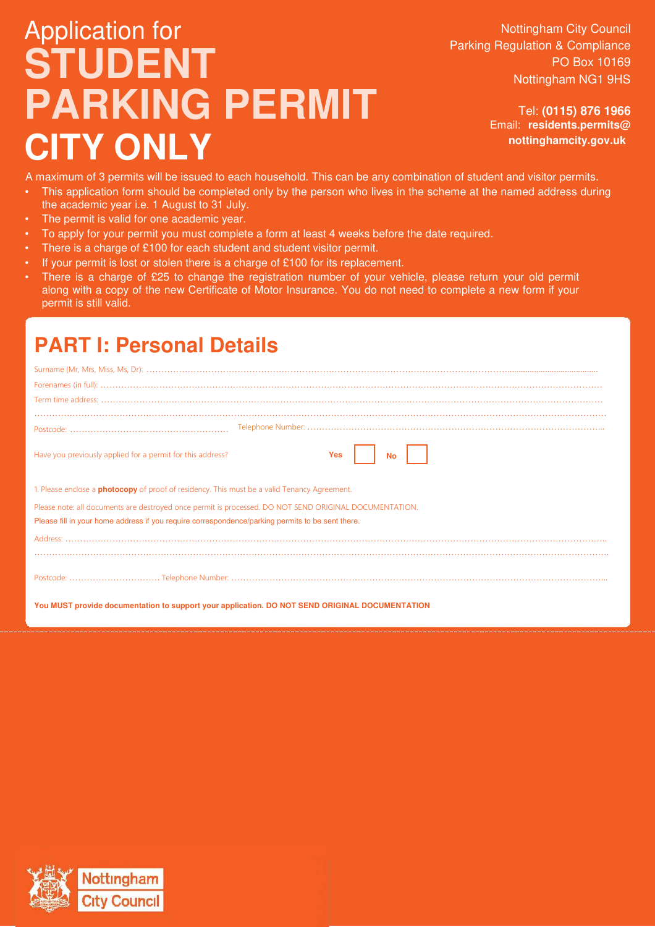# Application for **STUDENT PARKING PERMIT CITY ONLY**

Nottingham City Council Parking Regulation & Compliance PO Box 10169 Nottingham NG1 9HS

> Tel: **(0115) 876 1966** Email: **residents.permits@ nottinghamcity.gov.uk**

A maximum of 3 permits will be issued to each household. This can be any combination of student and visitor permits.

- This application form should be completed only by the person who lives in the scheme at the named address during the academic year i.e. 1 August to 31 July.
- The permit is valid for one academic year.
- To apply for your permit you must complete a form at least 4 weeks before the date required.
- There is a charge of £100 for each student and student visitor permit.
- If your permit is lost or stolen there is a charge of £100 for its replacement.
- There is a charge of £25 to change the registration number of your vehicle, please return your old permit along with a copy of the new Certificate of Motor Insurance. You do not need to complete a new form if your permit is still valid.

### **PART I: Personal Details**

| Have you previously applied for a permit for this address?<br>Yes<br><b>No</b>                                                                                                                             |
|------------------------------------------------------------------------------------------------------------------------------------------------------------------------------------------------------------|
| 1. Please enclose a <b>photocopy</b> of proof of residency. This must be a valid Tenancy Agreement.                                                                                                        |
| Please note: all documents are destroyed once permit is processed. DO NOT SEND ORIGINAL DOCUMENTATION.<br>Please fill in your home address if you require correspondence/parking permits to be sent there. |
|                                                                                                                                                                                                            |
|                                                                                                                                                                                                            |
| You MUST provide documentation to support your application. DO NOT SEND ORIGINAL DOCUMENTATION                                                                                                             |